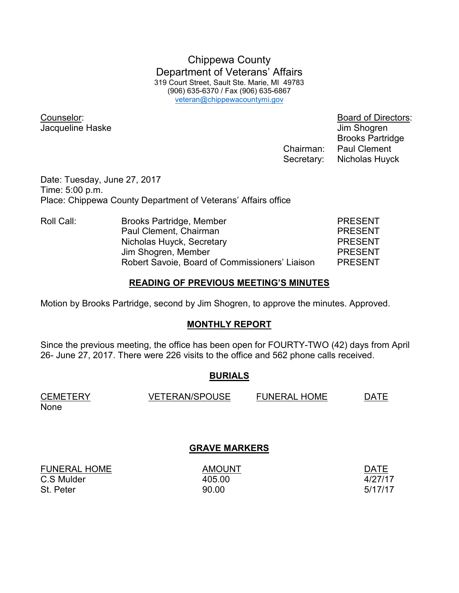Chippewa County Department of Veterans' Affairs 319 Court Street, Sault Ste. Marie, MI 49783 (906) 635-6370 / Fax (906) 635-6867 veteran@chippewacountymi.gov

Jacqueline Haske Jacqueline Haske Jim Shogren

Counselor: Board of Directors: Brooks Partridge Chairman: Paul Clement Secretary: Nicholas Huyck

Date: Tuesday, June 27, 2017 Time: 5:00 p.m. Place: Chippewa County Department of Veterans' Affairs office

| Roll Call: | Brooks Partridge, Member                       | <b>PRESENT</b> |
|------------|------------------------------------------------|----------------|
|            | Paul Clement, Chairman                         | <b>PRESENT</b> |
|            | Nicholas Huyck, Secretary                      | <b>PRESENT</b> |
|            | Jim Shogren, Member                            | <b>PRESENT</b> |
|            | Robert Savoie, Board of Commissioners' Liaison | <b>PRESENT</b> |

## **READING OF PREVIOUS MEETING'S MINUTES**

Motion by Brooks Partridge, second by Jim Shogren, to approve the minutes. Approved.

## **MONTHLY REPORT**

Since the previous meeting, the office has been open for FOURTY-TWO (42) days from April 26- June 27, 2017. There were 226 visits to the office and 562 phone calls received.

## **BURIALS**

| <b>CEMETERY</b> | <b>VETERAN/SPOUSE</b> | <b>FUNERAL HOME</b> | <b>DATE</b> |
|-----------------|-----------------------|---------------------|-------------|
| None            |                       |                     |             |

## **GRAVE MARKERS**

FUNERAL HOME AMOUNT AMOUNT AND AND AND ALL THE RESERVE ASSESSED. C.S Mulder 405.00 4/27/17 St. Peter 5/17/17